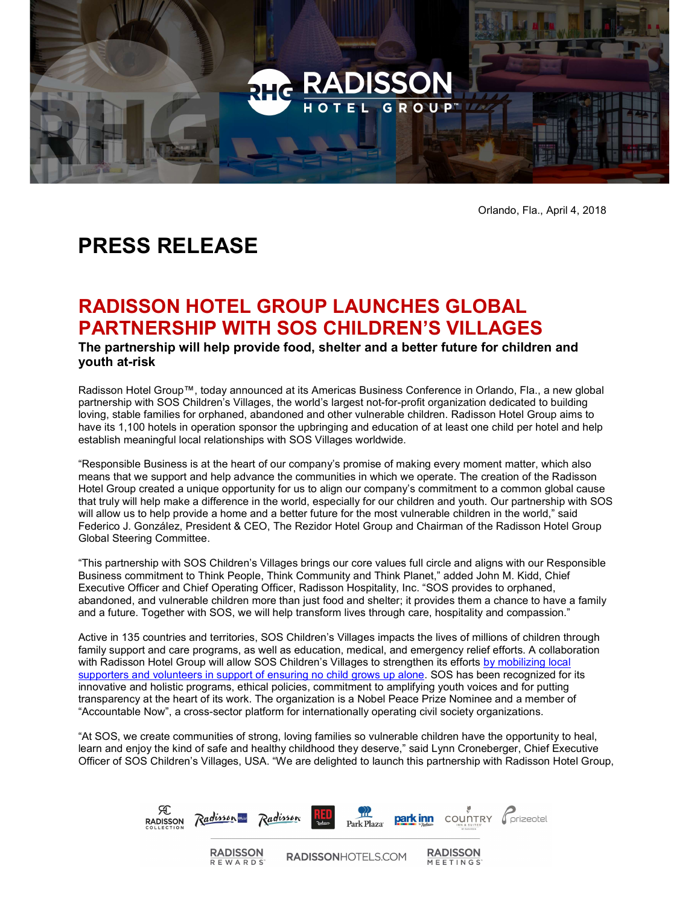

Orlando, Fla., April 4, 2018

# PRESS RELEASE

# RADISSON HOTEL GROUP LAUNCHES GLOBAL PARTNERSHIP WITH SOS CHILDREN'S VILLAGES

The partnership will help provide food, shelter and a better future for children and youth at-risk

Radisson Hotel Group™, today announced at its Americas Business Conference in Orlando, Fla., a new global partnership with SOS Children's Villages, the world's largest not-for-profit organization dedicated to building loving, stable families for orphaned, abandoned and other vulnerable children. Radisson Hotel Group aims to have its 1,100 hotels in operation sponsor the upbringing and education of at least one child per hotel and help establish meaningful local relationships with SOS Villages worldwide.

"Responsible Business is at the heart of our company's promise of making every moment matter, which also means that we support and help advance the communities in which we operate. The creation of the Radisson Hotel Group created a unique opportunity for us to align our company's commitment to a common global cause that truly will help make a difference in the world, especially for our children and youth. Our partnership with SOS will allow us to help provide a home and a better future for the most vulnerable children in the world," said Federico J. González, President & CEO, The Rezidor Hotel Group and Chairman of the Radisson Hotel Group Global Steering Committee.

"This partnership with SOS Children's Villages brings our core values full circle and aligns with our Responsible Business commitment to Think People, Think Community and Think Planet," added John M. Kidd, Chief Executive Officer and Chief Operating Officer, Radisson Hospitality, Inc. "SOS provides to orphaned, abandoned, and vulnerable children more than just food and shelter; it provides them a chance to have a family and a future. Together with SOS, we will help transform lives through care, hospitality and compassion."

Active in 135 countries and territories, SOS Children's Villages impacts the lives of millions of children through family support and care programs, as well as education, medical, and emergency relief efforts. A collaboration with Radisson Hotel Group will allow SOS Children's Villages to strengthen its efforts by mobilizing local supporters and volunteers in support of ensuring no child grows up alone. SOS has been recognized for its innovative and holistic programs, ethical policies, commitment to amplifying youth voices and for putting transparency at the heart of its work. The organization is a Nobel Peace Prize Nominee and a member of "Accountable Now", a cross-sector platform for internationally operating civil society organizations.

"At SOS, we create communities of strong, loving families so vulnerable children have the opportunity to heal, learn and enjoy the kind of safe and healthy childhood they deserve," said Lynn Croneberger, Chief Executive Officer of SOS Children's Villages, USA. "We are delighted to launch this partnership with Radisson Hotel Group,